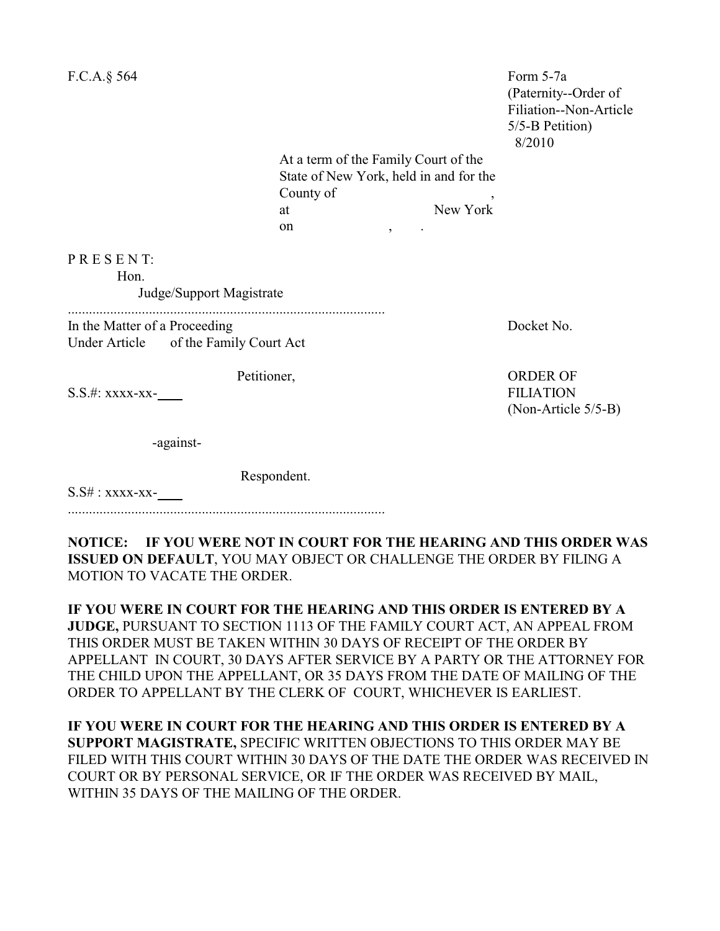| F.C.A.§ 564                                                            |                                                                                                                                        |          | Form 5-7a<br>(Paternity--Order of<br>Filiation--Non-Article<br>5/5-B Petition)<br>8/2010 |
|------------------------------------------------------------------------|----------------------------------------------------------------------------------------------------------------------------------------|----------|------------------------------------------------------------------------------------------|
|                                                                        | At a term of the Family Court of the<br>State of New York, held in and for the<br>County of<br>at<br>on<br>$\overline{ }$<br>$\bullet$ | New York |                                                                                          |
| PRESENT:<br>Hon.<br>Judge/Support Magistrate                           |                                                                                                                                        |          |                                                                                          |
| In the Matter of a Proceeding<br>Under Article of the Family Court Act |                                                                                                                                        |          | Docket No.                                                                               |
| Petitioner,<br>S.S.#: xxxx-xx-                                         |                                                                                                                                        |          | <b>ORDER OF</b><br><b>FILIATION</b><br>(Non-Article 5/5-B)                               |
| -against-                                                              |                                                                                                                                        |          |                                                                                          |
| $S.S# : XXXX-XX-$                                                      | Respondent.                                                                                                                            |          |                                                                                          |

**NOTICE: IF YOU WERE NOT IN COURT FOR THE HEARING AND THIS ORDER WAS ISSUED ON DEFAULT**, YOU MAY OBJECT OR CHALLENGE THE ORDER BY FILING A MOTION TO VACATE THE ORDER.

**IF YOU WERE IN COURT FOR THE HEARING AND THIS ORDER IS ENTERED BY A JUDGE,** PURSUANT TO SECTION 1113 OF THE FAMILY COURT ACT, AN APPEAL FROM THIS ORDER MUST BE TAKEN WITHIN 30 DAYS OF RECEIPT OF THE ORDER BY APPELLANT IN COURT, 30 DAYS AFTER SERVICE BY A PARTY OR THE ATTORNEY FOR THE CHILD UPON THE APPELLANT, OR 35 DAYS FROM THE DATE OF MAILING OF THE ORDER TO APPELLANT BY THE CLERK OF COURT, WHICHEVER IS EARLIEST.

**IF YOU WERE IN COURT FOR THE HEARING AND THIS ORDER IS ENTERED BY A SUPPORT MAGISTRATE,** SPECIFIC WRITTEN OBJECTIONS TO THIS ORDER MAY BE FILED WITH THIS COURT WITHIN 30 DAYS OF THE DATE THE ORDER WAS RECEIVED IN COURT OR BY PERSONAL SERVICE, OR IF THE ORDER WAS RECEIVED BY MAIL, WITHIN 35 DAYS OF THE MAILING OF THE ORDER.